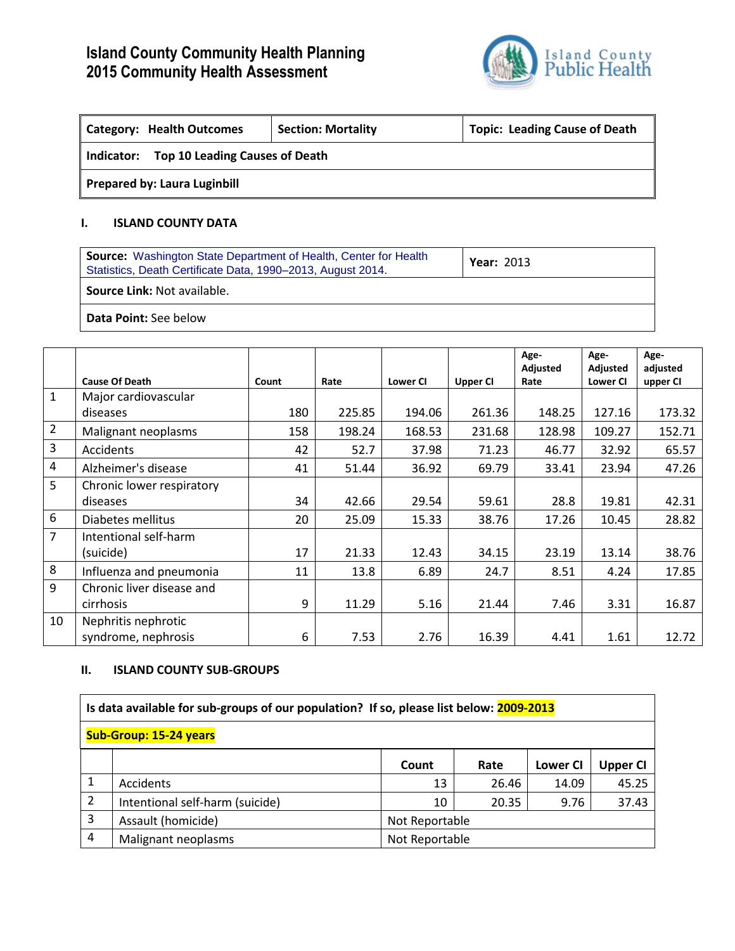# **Island County Community Health Planning 2015 Community Health Assessment**



| Category: Health Outcomes                    | <b>Topic: Leading Cause of Death</b><br><b>Section: Mortality</b> |  |  |  |  |  |  |  |
|----------------------------------------------|-------------------------------------------------------------------|--|--|--|--|--|--|--|
| Top 10 Leading Causes of Death<br>Indicator: |                                                                   |  |  |  |  |  |  |  |
| <b>Prepared by: Laura Luginbill</b>          |                                                                   |  |  |  |  |  |  |  |

#### **I. ISLAND COUNTY DATA**

| <b>Source:</b> Washington State Department of Health, Center for Health<br>Statistics, Death Certificate Data, 1990-2013, August 2014. | <b>Year: 2013</b> |  |  |  |  |  |
|----------------------------------------------------------------------------------------------------------------------------------------|-------------------|--|--|--|--|--|
| <b>Source Link: Not available.</b>                                                                                                     |                   |  |  |  |  |  |
| <b>Data Point:</b> See below                                                                                                           |                   |  |  |  |  |  |

|                |                           |       |        |                 |                 | Age-<br>Adjusted | Age-<br>Adjusted | Age-<br>adjusted |
|----------------|---------------------------|-------|--------|-----------------|-----------------|------------------|------------------|------------------|
|                | <b>Cause Of Death</b>     | Count | Rate   | <b>Lower CI</b> | <b>Upper CI</b> | Rate             | <b>Lower CI</b>  | upper CI         |
| $\mathbf{1}$   | Major cardiovascular      |       |        |                 |                 |                  |                  |                  |
|                | diseases                  | 180   | 225.85 | 194.06          | 261.36          | 148.25           | 127.16           | 173.32           |
| $\overline{2}$ | Malignant neoplasms       | 158   | 198.24 | 168.53          | 231.68          | 128.98           | 109.27           | 152.71           |
| 3              | Accidents                 | 42    | 52.7   | 37.98           | 71.23           | 46.77            | 32.92            | 65.57            |
| 4              | Alzheimer's disease       | 41    | 51.44  | 36.92           | 69.79           | 33.41            | 23.94            | 47.26            |
| 5              | Chronic lower respiratory |       |        |                 |                 |                  |                  |                  |
|                | diseases                  | 34    | 42.66  | 29.54           | 59.61           | 28.8             | 19.81            | 42.31            |
| 6              | Diabetes mellitus         | 20    | 25.09  | 15.33           | 38.76           | 17.26            | 10.45            | 28.82            |
| $\overline{7}$ | Intentional self-harm     |       |        |                 |                 |                  |                  |                  |
|                | (suicide)                 | 17    | 21.33  | 12.43           | 34.15           | 23.19            | 13.14            | 38.76            |
| 8              | Influenza and pneumonia   | 11    | 13.8   | 6.89            | 24.7            | 8.51             | 4.24             | 17.85            |
| 9              | Chronic liver disease and |       |        |                 |                 |                  |                  |                  |
|                | cirrhosis                 | 9     | 11.29  | 5.16            | 21.44           | 7.46             | 3.31             | 16.87            |
| 10             | Nephritis nephrotic       |       |        |                 |                 |                  |                  |                  |
|                | syndrome, nephrosis       | 6     | 7.53   | 2.76            | 16.39           | 4.41             | 1.61             | 12.72            |

### **II. ISLAND COUNTY SUB-GROUPS**

|                               | Is data available for sub-groups of our population? If so, please list below: 2009-2013 |                |       |                 |                 |  |  |  |  |
|-------------------------------|-----------------------------------------------------------------------------------------|----------------|-------|-----------------|-----------------|--|--|--|--|
| <b>Sub-Group: 15-24 years</b> |                                                                                         |                |       |                 |                 |  |  |  |  |
|                               |                                                                                         | Count          | Rate  | <b>Lower CI</b> | <b>Upper CI</b> |  |  |  |  |
|                               | Accidents                                                                               | 13             | 26.46 | 14.09           | 45.25           |  |  |  |  |
| 2                             | Intentional self-harm (suicide)                                                         | 10             | 20.35 | 9.76            | 37.43           |  |  |  |  |
| 3                             | Assault (homicide)                                                                      | Not Reportable |       |                 |                 |  |  |  |  |
| 4                             | Malignant neoplasms                                                                     | Not Reportable |       |                 |                 |  |  |  |  |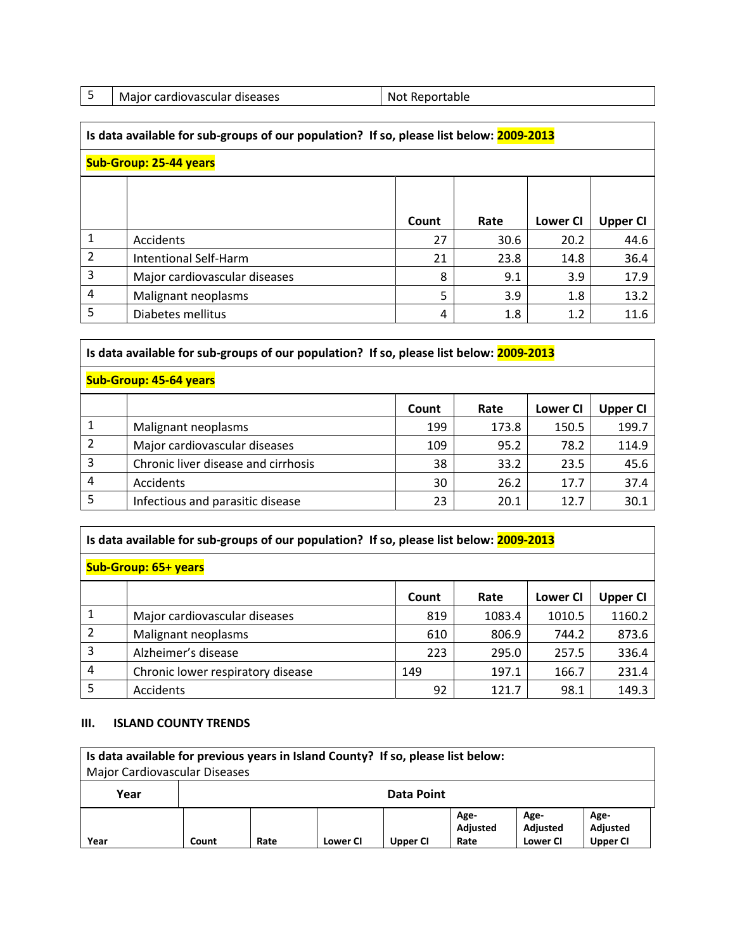|                               | Is data available for sub-groups of our population? If so, please list below: 2009-2013 |       |      |                 |                 |  |  |  |  |
|-------------------------------|-----------------------------------------------------------------------------------------|-------|------|-----------------|-----------------|--|--|--|--|
| <b>Sub-Group: 25-44 years</b> |                                                                                         |       |      |                 |                 |  |  |  |  |
|                               |                                                                                         |       |      |                 |                 |  |  |  |  |
|                               |                                                                                         | Count | Rate | <b>Lower CI</b> | <b>Upper CI</b> |  |  |  |  |
|                               | Accidents                                                                               | 27    | 30.6 | 20.2            | 44.6            |  |  |  |  |
| $\overline{2}$                | <b>Intentional Self-Harm</b>                                                            | 21    | 23.8 | 14.8            | 36.4            |  |  |  |  |
| 3                             | Major cardiovascular diseases                                                           | 8     | 9.1  | 3.9             | 17.9            |  |  |  |  |
| 4                             | Malignant neoplasms                                                                     | 5     | 3.9  | 1.8             | 13.2            |  |  |  |  |
| 5                             | Diabetes mellitus                                                                       | 4     | 1.8  | 1.2             | 11.6            |  |  |  |  |

# **Is data available for sub-groups of our population? If so, please list below: 2009-2013**

| Sub-Group: 45-64 years |                                     |       |       |                 |          |  |  |  |
|------------------------|-------------------------------------|-------|-------|-----------------|----------|--|--|--|
|                        |                                     | Count | Rate  | <b>Lower CI</b> | Upper CI |  |  |  |
|                        | Malignant neoplasms                 | 199   | 173.8 | 150.5           | 199.7    |  |  |  |
|                        | Major cardiovascular diseases       | 109   | 95.2  | 78.2            | 114.9    |  |  |  |
| 3                      | Chronic liver disease and cirrhosis | 38    | 33.2  | 23.5            | 45.6     |  |  |  |
| 4                      | Accidents                           | 30    | 26.2  | 17.7            | 37.4     |  |  |  |
|                        | Infectious and parasitic disease    | 23    | 20.1  | 12.7            | 30.1     |  |  |  |

## **Is data available for sub-groups of our population? If so, please list below: 2009-2013**

## **Sub-Group: 65+ years**

|   |                                   | Count | Rate   | <b>Lower CI</b> | Upper CI |
|---|-----------------------------------|-------|--------|-----------------|----------|
|   | Major cardiovascular diseases     | 819   | 1083.4 | 1010.5          | 1160.2   |
|   | Malignant neoplasms               | 610   | 806.9  | 744.2           | 873.6    |
|   | Alzheimer's disease               | 223   | 295.0  | 257.5           | 336.4    |
| 4 | Chronic lower respiratory disease | 149   | 197.1  | 166.7           | 231.4    |
|   | Accidents                         | 92    | 121.7  | 98.1            | 149.3    |

#### **III. ISLAND COUNTY TRENDS**

| Is data available for previous years in Island County? If so, please list below:<br><b>Major Cardiovascular Diseases</b> |       |            |                 |          |                          |                              |                                     |  |  |
|--------------------------------------------------------------------------------------------------------------------------|-------|------------|-----------------|----------|--------------------------|------------------------------|-------------------------------------|--|--|
| Year                                                                                                                     |       | Data Point |                 |          |                          |                              |                                     |  |  |
| Year                                                                                                                     | Count | Rate       | <b>Lower CI</b> | Upper CI | Age-<br>Adjusted<br>Rate | Age-<br>Adjusted<br>Lower CI | Age-<br>Adjusted<br><b>Upper CI</b> |  |  |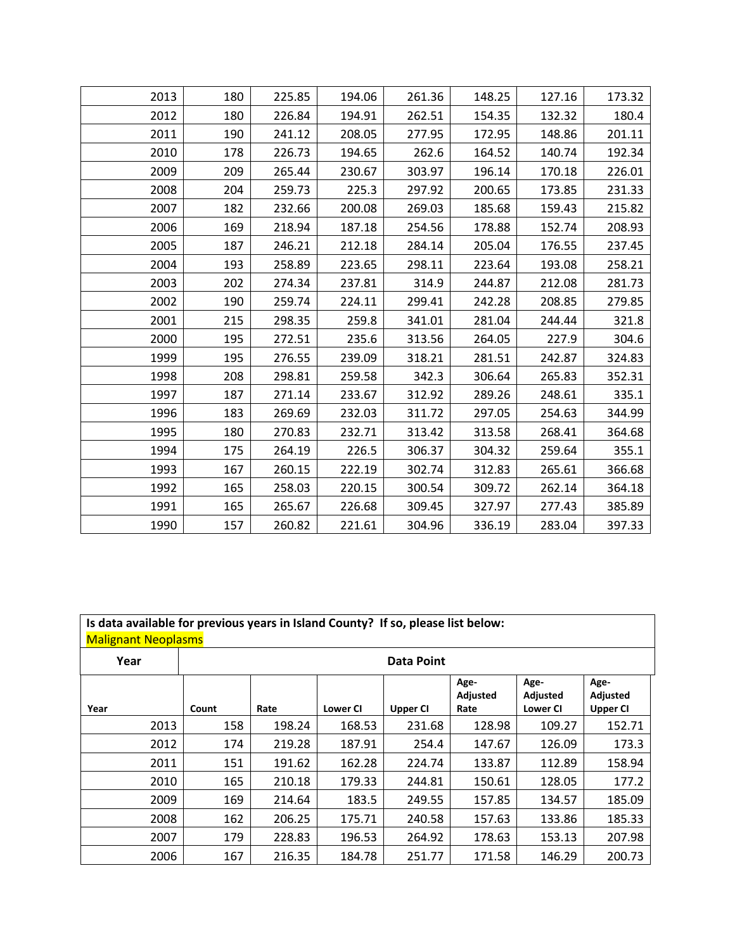| 2013 | 180 | 225.85 | 194.06 | 261.36 | 148.25 | 127.16 | 173.32 |
|------|-----|--------|--------|--------|--------|--------|--------|
| 2012 | 180 | 226.84 | 194.91 | 262.51 | 154.35 | 132.32 | 180.4  |
| 2011 | 190 | 241.12 | 208.05 | 277.95 | 172.95 | 148.86 | 201.11 |
| 2010 | 178 | 226.73 | 194.65 | 262.6  | 164.52 | 140.74 | 192.34 |
| 2009 | 209 | 265.44 | 230.67 | 303.97 | 196.14 | 170.18 | 226.01 |
| 2008 | 204 | 259.73 | 225.3  | 297.92 | 200.65 | 173.85 | 231.33 |
| 2007 | 182 | 232.66 | 200.08 | 269.03 | 185.68 | 159.43 | 215.82 |
| 2006 | 169 | 218.94 | 187.18 | 254.56 | 178.88 | 152.74 | 208.93 |
| 2005 | 187 | 246.21 | 212.18 | 284.14 | 205.04 | 176.55 | 237.45 |
| 2004 | 193 | 258.89 | 223.65 | 298.11 | 223.64 | 193.08 | 258.21 |
| 2003 | 202 | 274.34 | 237.81 | 314.9  | 244.87 | 212.08 | 281.73 |
| 2002 | 190 | 259.74 | 224.11 | 299.41 | 242.28 | 208.85 | 279.85 |
| 2001 | 215 | 298.35 | 259.8  | 341.01 | 281.04 | 244.44 | 321.8  |
| 2000 | 195 | 272.51 | 235.6  | 313.56 | 264.05 | 227.9  | 304.6  |
| 1999 | 195 | 276.55 | 239.09 | 318.21 | 281.51 | 242.87 | 324.83 |
| 1998 | 208 | 298.81 | 259.58 | 342.3  | 306.64 | 265.83 | 352.31 |
| 1997 | 187 | 271.14 | 233.67 | 312.92 | 289.26 | 248.61 | 335.1  |
| 1996 | 183 | 269.69 | 232.03 | 311.72 | 297.05 | 254.63 | 344.99 |
| 1995 | 180 | 270.83 | 232.71 | 313.42 | 313.58 | 268.41 | 364.68 |
| 1994 | 175 | 264.19 | 226.5  | 306.37 | 304.32 | 259.64 | 355.1  |
| 1993 | 167 | 260.15 | 222.19 | 302.74 | 312.83 | 265.61 | 366.68 |
| 1992 | 165 | 258.03 | 220.15 | 300.54 | 309.72 | 262.14 | 364.18 |
| 1991 | 165 | 265.67 | 226.68 | 309.45 | 327.97 | 277.43 | 385.89 |
| 1990 | 157 | 260.82 | 221.61 | 304.96 | 336.19 | 283.04 | 397.33 |

| Is data available for previous years in Island County? If so, please list below:<br><b>Malignant Neoplasms</b> |       |                   |                 |                 |                          |                                     |                                     |  |  |
|----------------------------------------------------------------------------------------------------------------|-------|-------------------|-----------------|-----------------|--------------------------|-------------------------------------|-------------------------------------|--|--|
| Year                                                                                                           |       | <b>Data Point</b> |                 |                 |                          |                                     |                                     |  |  |
| Year                                                                                                           | Count | Rate              | <b>Lower CI</b> | <b>Upper CI</b> | Age-<br>Adjusted<br>Rate | Age-<br>Adjusted<br><b>Lower CI</b> | Age-<br>Adjusted<br><b>Upper CI</b> |  |  |
| 2013                                                                                                           | 158   | 198.24            | 168.53          | 231.68          | 128.98                   | 109.27                              | 152.71                              |  |  |
| 2012                                                                                                           | 174   | 219.28            | 187.91          | 254.4           | 147.67                   | 126.09                              | 173.3                               |  |  |
| 2011                                                                                                           | 151   | 191.62            | 162.28          | 224.74          | 133.87                   | 112.89                              | 158.94                              |  |  |
| 2010                                                                                                           | 165   | 210.18            | 179.33          | 244.81          | 150.61                   | 128.05                              | 177.2                               |  |  |
| 2009                                                                                                           | 169   | 214.64            | 183.5           | 249.55          | 157.85                   | 134.57                              | 185.09                              |  |  |
| 2008                                                                                                           | 162   | 206.25            | 175.71          | 240.58          | 157.63                   | 133.86                              | 185.33                              |  |  |
| 2007                                                                                                           | 179   | 228.83            | 196.53          | 264.92          | 178.63                   | 153.13                              | 207.98                              |  |  |
| 2006                                                                                                           | 167   | 216.35            | 184.78          | 251.77          | 171.58                   | 146.29                              | 200.73                              |  |  |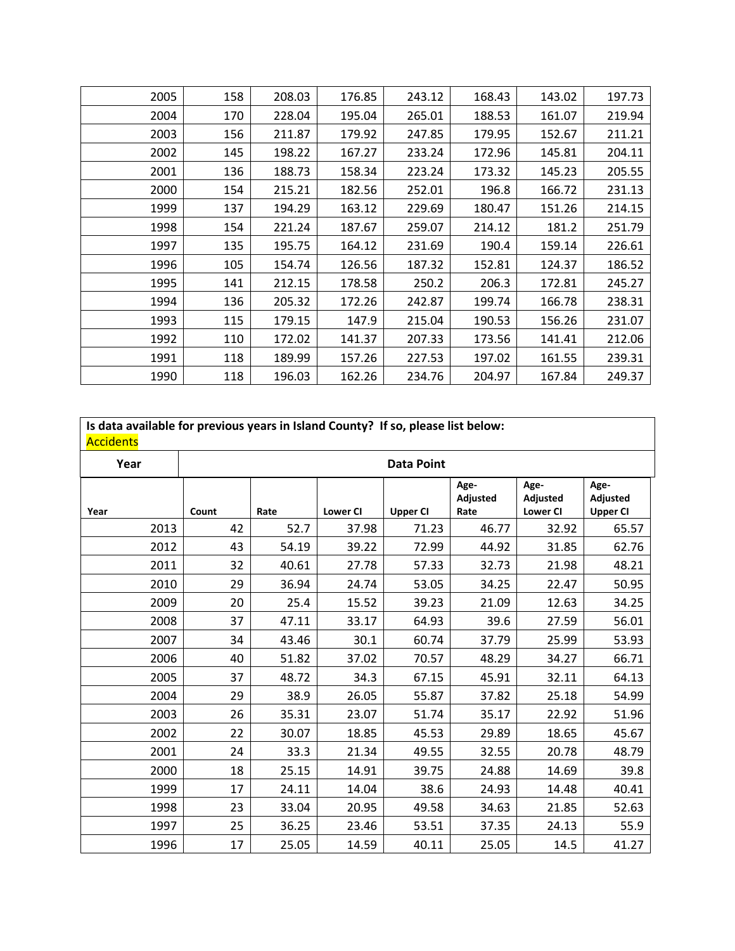| 2005 | 158 | 208.03 | 176.85 | 243.12 | 168.43 | 143.02 | 197.73 |
|------|-----|--------|--------|--------|--------|--------|--------|
| 2004 | 170 | 228.04 | 195.04 | 265.01 | 188.53 | 161.07 | 219.94 |
| 2003 | 156 | 211.87 | 179.92 | 247.85 | 179.95 | 152.67 | 211.21 |
| 2002 | 145 | 198.22 | 167.27 | 233.24 | 172.96 | 145.81 | 204.11 |
| 2001 | 136 | 188.73 | 158.34 | 223.24 | 173.32 | 145.23 | 205.55 |
| 2000 | 154 | 215.21 | 182.56 | 252.01 | 196.8  | 166.72 | 231.13 |
| 1999 | 137 | 194.29 | 163.12 | 229.69 | 180.47 | 151.26 | 214.15 |
| 1998 | 154 | 221.24 | 187.67 | 259.07 | 214.12 | 181.2  | 251.79 |
| 1997 | 135 | 195.75 | 164.12 | 231.69 | 190.4  | 159.14 | 226.61 |
| 1996 | 105 | 154.74 | 126.56 | 187.32 | 152.81 | 124.37 | 186.52 |
| 1995 | 141 | 212.15 | 178.58 | 250.2  | 206.3  | 172.81 | 245.27 |
| 1994 | 136 | 205.32 | 172.26 | 242.87 | 199.74 | 166.78 | 238.31 |
| 1993 | 115 | 179.15 | 147.9  | 215.04 | 190.53 | 156.26 | 231.07 |
| 1992 | 110 | 172.02 | 141.37 | 207.33 | 173.56 | 141.41 | 212.06 |
| 1991 | 118 | 189.99 | 157.26 | 227.53 | 197.02 | 161.55 | 239.31 |
| 1990 | 118 | 196.03 | 162.26 | 234.76 | 204.97 | 167.84 | 249.37 |

| <b>Accidents</b> |      |       |       |                 | Is data available for previous years in Island County? If so, please list below: |                          |                                     |                     |
|------------------|------|-------|-------|-----------------|----------------------------------------------------------------------------------|--------------------------|-------------------------------------|---------------------|
| Year             |      |       |       |                 | <b>Data Point</b>                                                                |                          |                                     |                     |
| Year             |      | Count | Rate  | <b>Lower CI</b> | <b>Upper CI</b>                                                                  | Age-<br>Adjusted<br>Rate | Age-<br>Adjusted<br><b>Lower CI</b> | Age-<br>Adju<br>Upp |
|                  | 2013 | 42    | 52.7  | 37.98           | 71.23                                                                            | 46.77                    | 32.92                               |                     |
|                  | 2012 | 43    | 54.19 | 39.22           | 72.99                                                                            | 44.92                    | 31.85                               |                     |
|                  | 2011 | 32    | 40.61 | 27.78           | 57.33                                                                            | 32.73                    | 21.98                               |                     |
|                  |      |       |       |                 |                                                                                  |                          |                                     |                     |

| Year |       |       |                 | <b>Data Point</b> |                          |                                     |                                     |
|------|-------|-------|-----------------|-------------------|--------------------------|-------------------------------------|-------------------------------------|
| Year | Count | Rate  | <b>Lower CI</b> | <b>Upper CI</b>   | Age-<br>Adjusted<br>Rate | Age-<br>Adjusted<br><b>Lower CI</b> | Age-<br>Adjusted<br><b>Upper CI</b> |
| 2013 | 42    | 52.7  | 37.98           | 71.23             | 46.77                    | 32.92                               | 65.57                               |
| 2012 | 43    | 54.19 | 39.22           | 72.99             | 44.92                    | 31.85                               | 62.76                               |
| 2011 | 32    | 40.61 | 27.78           | 57.33             | 32.73                    | 21.98                               | 48.21                               |
| 2010 | 29    | 36.94 | 24.74           | 53.05             | 34.25                    | 22.47                               | 50.95                               |
| 2009 | 20    | 25.4  | 15.52           | 39.23             | 21.09                    | 12.63                               | 34.25                               |
| 2008 | 37    | 47.11 | 33.17           | 64.93             | 39.6                     | 27.59                               | 56.01                               |
| 2007 | 34    | 43.46 | 30.1            | 60.74             | 37.79                    | 25.99                               | 53.93                               |
| 2006 | 40    | 51.82 | 37.02           | 70.57             | 48.29                    | 34.27                               | 66.71                               |
| 2005 | 37    | 48.72 | 34.3            | 67.15             | 45.91                    | 32.11                               | 64.13                               |
| 2004 | 29    | 38.9  | 26.05           | 55.87             | 37.82                    | 25.18                               | 54.99                               |
| 2003 | 26    | 35.31 | 23.07           | 51.74             | 35.17                    | 22.92                               | 51.96                               |
| 2002 | 22    | 30.07 | 18.85           | 45.53             | 29.89                    | 18.65                               | 45.67                               |
| 2001 | 24    | 33.3  | 21.34           | 49.55             | 32.55                    | 20.78                               | 48.79                               |
| 2000 | 18    | 25.15 | 14.91           | 39.75             | 24.88                    | 14.69                               | 39.8                                |
| 1999 | 17    | 24.11 | 14.04           | 38.6              | 24.93                    | 14.48                               | 40.41                               |
| 1998 | 23    | 33.04 | 20.95           | 49.58             | 34.63                    | 21.85                               | 52.63                               |
| 1997 | 25    | 36.25 | 23.46           | 53.51             | 37.35                    | 24.13                               | 55.9                                |
| 1996 | 17    | 25.05 | 14.59           | 40.11             | 25.05                    | 14.5                                | 41.27                               |
|      |       |       |                 |                   |                          |                                     |                                     |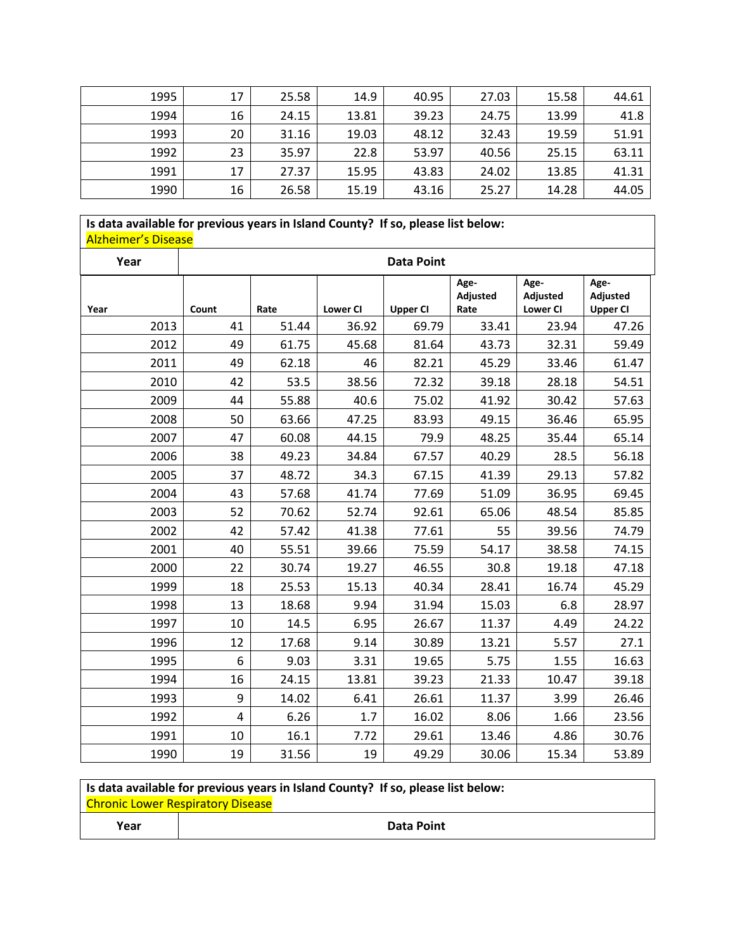| 1995 | 17 | 25.58 | 14.9  | 40.95 | 27.03 | 15.58 | 44.61 |
|------|----|-------|-------|-------|-------|-------|-------|
| 1994 | 16 | 24.15 | 13.81 | 39.23 | 24.75 | 13.99 | 41.8  |
| 1993 | 20 | 31.16 | 19.03 | 48.12 | 32.43 | 19.59 | 51.91 |
| 1992 | 23 | 35.97 | 22.8  | 53.97 | 40.56 | 25.15 | 63.11 |
| 1991 | 17 | 27.37 | 15.95 | 43.83 | 24.02 | 13.85 | 41.31 |
| 1990 | 16 | 26.58 | 15.19 | 43.16 | 25.27 | 14.28 | 44.05 |

# **Is data available for previous years in Island County? If so, please list below:** Alzheimer's Disease

| Year |                |       |                 | <b>Data Point</b> |                          |                                     |                                     |
|------|----------------|-------|-----------------|-------------------|--------------------------|-------------------------------------|-------------------------------------|
| Year | Count          | Rate  | <b>Lower CI</b> | <b>Upper CI</b>   | Age-<br>Adjusted<br>Rate | Age-<br>Adjusted<br><b>Lower CI</b> | Age-<br>Adjusted<br><b>Upper CI</b> |
| 2013 | 41             | 51.44 | 36.92           | 69.79             | 33.41                    | 23.94                               | 47.26                               |
| 2012 | 49             | 61.75 | 45.68           | 81.64             | 43.73                    | 32.31                               | 59.49                               |
| 2011 | 49             | 62.18 | 46              | 82.21             | 45.29                    | 33.46                               | 61.47                               |
| 2010 | 42             | 53.5  | 38.56           | 72.32             | 39.18                    | 28.18                               | 54.51                               |
| 2009 | 44             | 55.88 | 40.6            | 75.02             | 41.92                    | 30.42                               | 57.63                               |
| 2008 | 50             | 63.66 | 47.25           | 83.93             | 49.15                    | 36.46                               | 65.95                               |
| 2007 | 47             | 60.08 | 44.15           | 79.9              | 48.25                    | 35.44                               | 65.14                               |
| 2006 | 38             | 49.23 | 34.84           | 67.57             | 40.29                    | 28.5                                | 56.18                               |
| 2005 | 37             | 48.72 | 34.3            | 67.15             | 41.39                    | 29.13                               | 57.82                               |
| 2004 | 43             | 57.68 | 41.74           | 77.69             | 51.09                    | 36.95                               | 69.45                               |
| 2003 | 52             | 70.62 | 52.74           | 92.61             | 65.06                    | 48.54                               | 85.85                               |
| 2002 | 42             | 57.42 | 41.38           | 77.61             | 55                       | 39.56                               | 74.79                               |
| 2001 | 40             | 55.51 | 39.66           | 75.59             | 54.17                    | 38.58                               | 74.15                               |
| 2000 | 22             | 30.74 | 19.27           | 46.55             | 30.8                     | 19.18                               | 47.18                               |
| 1999 | 18             | 25.53 | 15.13           | 40.34             | 28.41                    | 16.74                               | 45.29                               |
| 1998 | 13             | 18.68 | 9.94            | 31.94             | 15.03                    | 6.8                                 | 28.97                               |
| 1997 | 10             | 14.5  | 6.95            | 26.67             | 11.37                    | 4.49                                | 24.22                               |
| 1996 | 12             | 17.68 | 9.14            | 30.89             | 13.21                    | 5.57                                | 27.1                                |
| 1995 | 6              | 9.03  | 3.31            | 19.65             | 5.75                     | 1.55                                | 16.63                               |
| 1994 | 16             | 24.15 | 13.81           | 39.23             | 21.33                    | 10.47                               | 39.18                               |
| 1993 | 9              | 14.02 | 6.41            | 26.61             | 11.37                    | 3.99                                | 26.46                               |
| 1992 | $\overline{4}$ | 6.26  | 1.7             | 16.02             | 8.06                     | 1.66                                | 23.56                               |
| 1991 | 10             | 16.1  | 7.72            | 29.61             | 13.46                    | 4.86                                | 30.76                               |
| 1990 | 19             | 31.56 | 19              | 49.29             | 30.06                    | 15.34                               | 53.89                               |

| Is data available for previous years in Island County? If so, please list below: |  |            |  |  |  |  |  |  |
|----------------------------------------------------------------------------------|--|------------|--|--|--|--|--|--|
| Chronic Lower Respiratory Disease                                                |  |            |  |  |  |  |  |  |
| Year                                                                             |  | Data Point |  |  |  |  |  |  |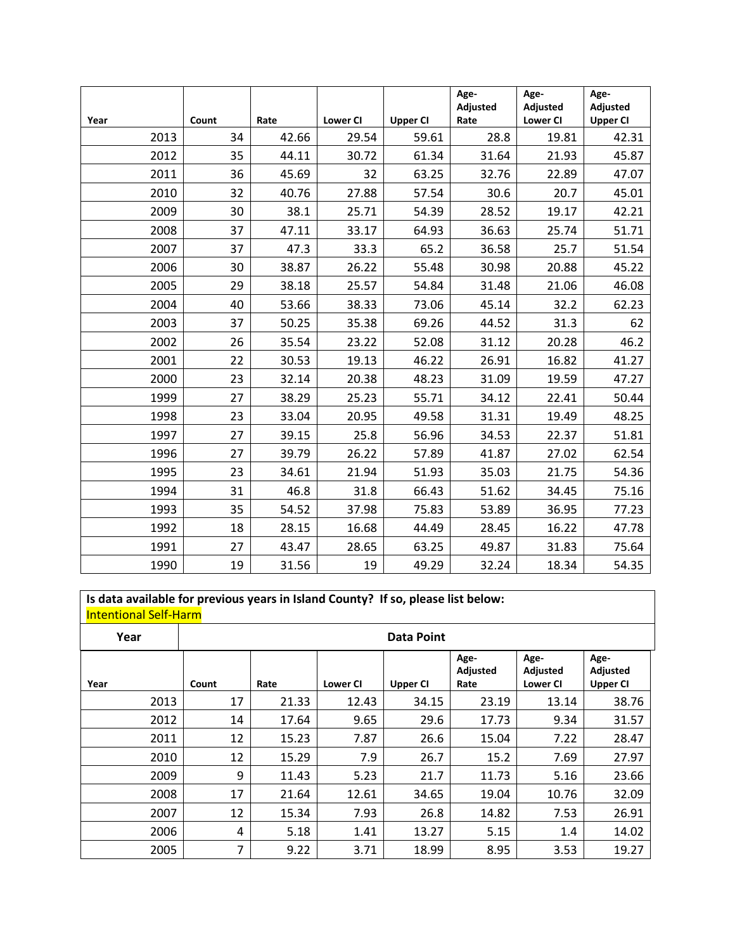|      |       |       |                 |                 | Age-<br>Adjusted | Age-<br>Adjusted | Age-<br>Adjusted |
|------|-------|-------|-----------------|-----------------|------------------|------------------|------------------|
| Year | Count | Rate  | <b>Lower CI</b> | <b>Upper CI</b> | Rate             | <b>Lower CI</b>  | <b>Upper CI</b>  |
| 2013 | 34    | 42.66 | 29.54           | 59.61           | 28.8             | 19.81            | 42.31            |
| 2012 | 35    | 44.11 | 30.72           | 61.34           | 31.64            | 21.93            | 45.87            |
| 2011 | 36    | 45.69 | 32              | 63.25           | 32.76            | 22.89            | 47.07            |
| 2010 | 32    | 40.76 | 27.88           | 57.54           | 30.6             | 20.7             | 45.01            |
| 2009 | 30    | 38.1  | 25.71           | 54.39           | 28.52            | 19.17            | 42.21            |
| 2008 | 37    | 47.11 | 33.17           | 64.93           | 36.63            | 25.74            | 51.71            |
| 2007 | 37    | 47.3  | 33.3            | 65.2            | 36.58            | 25.7             | 51.54            |
| 2006 | 30    | 38.87 | 26.22           | 55.48           | 30.98            | 20.88            | 45.22            |
| 2005 | 29    | 38.18 | 25.57           | 54.84           | 31.48            | 21.06            | 46.08            |
| 2004 | 40    | 53.66 | 38.33           | 73.06           | 45.14            | 32.2             | 62.23            |
| 2003 | 37    | 50.25 | 35.38           | 69.26           | 44.52            | 31.3             | 62               |
| 2002 | 26    | 35.54 | 23.22           | 52.08           | 31.12            | 20.28            | 46.2             |
| 2001 | 22    | 30.53 | 19.13           | 46.22           | 26.91            | 16.82            | 41.27            |
| 2000 | 23    | 32.14 | 20.38           | 48.23           | 31.09            | 19.59            | 47.27            |
| 1999 | 27    | 38.29 | 25.23           | 55.71           | 34.12            | 22.41            | 50.44            |
| 1998 | 23    | 33.04 | 20.95           | 49.58           | 31.31            | 19.49            | 48.25            |
| 1997 | 27    | 39.15 | 25.8            | 56.96           | 34.53            | 22.37            | 51.81            |
| 1996 | 27    | 39.79 | 26.22           | 57.89           | 41.87            | 27.02            | 62.54            |
| 1995 | 23    | 34.61 | 21.94           | 51.93           | 35.03            | 21.75            | 54.36            |
| 1994 | 31    | 46.8  | 31.8            | 66.43           | 51.62            | 34.45            | 75.16            |
| 1993 | 35    | 54.52 | 37.98           | 75.83           | 53.89            | 36.95            | 77.23            |
| 1992 | 18    | 28.15 | 16.68           | 44.49           | 28.45            | 16.22            | 47.78            |
| 1991 | 27    | 43.47 | 28.65           | 63.25           | 49.87            | 31.83            | 75.64            |
| 1990 | 19    | 31.56 | 19              | 49.29           | 32.24            | 18.34            | 54.35            |

**Is data available for previous years in Island County? If so, please list below:** Intentional Self-Harm

| Year |       |       |                 | <b>Data Point</b> |                          |                                     |                                     |
|------|-------|-------|-----------------|-------------------|--------------------------|-------------------------------------|-------------------------------------|
| Year | Count | Rate  | <b>Lower CI</b> | <b>Upper CI</b>   | Age-<br>Adjusted<br>Rate | Age-<br>Adjusted<br><b>Lower CI</b> | Age-<br>Adjusted<br><b>Upper CI</b> |
| 2013 | 17    | 21.33 | 12.43           | 34.15             | 23.19                    | 13.14                               | 38.76                               |
| 2012 | 14    | 17.64 | 9.65            | 29.6              | 17.73                    | 9.34                                | 31.57                               |
| 2011 | 12    | 15.23 | 7.87            | 26.6              | 15.04                    | 7.22                                | 28.47                               |
| 2010 | 12    | 15.29 | 7.9             | 26.7              | 15.2                     | 7.69                                | 27.97                               |
| 2009 | 9     | 11.43 | 5.23            | 21.7              | 11.73                    | 5.16                                | 23.66                               |
| 2008 | 17    | 21.64 | 12.61           | 34.65             | 19.04                    | 10.76                               | 32.09                               |
| 2007 | 12    | 15.34 | 7.93            | 26.8              | 14.82                    | 7.53                                | 26.91                               |
| 2006 | 4     | 5.18  | 1.41            | 13.27             | 5.15                     | 1.4                                 | 14.02                               |
| 2005 | 7     | 9.22  | 3.71            | 18.99             | 8.95                     | 3.53                                | 19.27                               |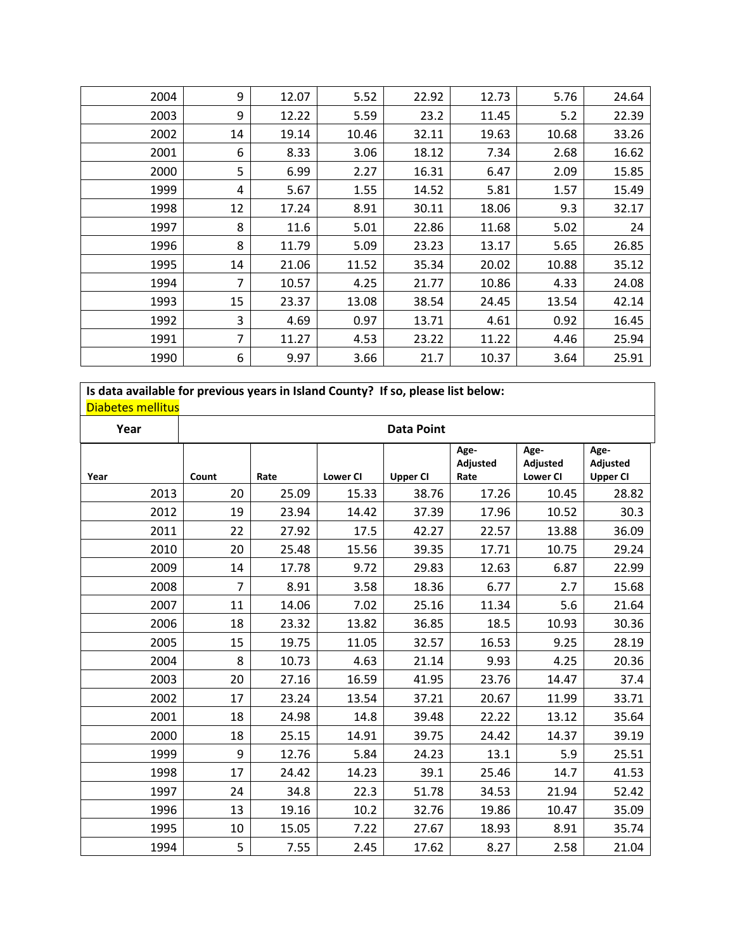| 2004 | 9              | 12.07 | 5.52  | 22.92 | 12.73 | 5.76  | 24.64 |
|------|----------------|-------|-------|-------|-------|-------|-------|
| 2003 | 9              | 12.22 | 5.59  | 23.2  | 11.45 | 5.2   | 22.39 |
| 2002 | 14             | 19.14 | 10.46 | 32.11 | 19.63 | 10.68 | 33.26 |
| 2001 | 6              | 8.33  | 3.06  | 18.12 | 7.34  | 2.68  | 16.62 |
| 2000 | 5              | 6.99  | 2.27  | 16.31 | 6.47  | 2.09  | 15.85 |
| 1999 | 4              | 5.67  | 1.55  | 14.52 | 5.81  | 1.57  | 15.49 |
| 1998 | 12             | 17.24 | 8.91  | 30.11 | 18.06 | 9.3   | 32.17 |
| 1997 | 8              | 11.6  | 5.01  | 22.86 | 11.68 | 5.02  | 24    |
| 1996 | 8              | 11.79 | 5.09  | 23.23 | 13.17 | 5.65  | 26.85 |
| 1995 | 14             | 21.06 | 11.52 | 35.34 | 20.02 | 10.88 | 35.12 |
| 1994 | $\overline{7}$ | 10.57 | 4.25  | 21.77 | 10.86 | 4.33  | 24.08 |
| 1993 | 15             | 23.37 | 13.08 | 38.54 | 24.45 | 13.54 | 42.14 |
| 1992 | 3              | 4.69  | 0.97  | 13.71 | 4.61  | 0.92  | 16.45 |
| 1991 | $\overline{7}$ | 11.27 | 4.53  | 23.22 | 11.22 | 4.46  | 25.94 |
| 1990 | 6              | 9.97  | 3.66  | 21.7  | 10.37 | 3.64  | 25.91 |

**Is data available for previous years in Island County? If so, please list below:** Diabetes mellitus

| Year |       |       |                 | <b>Data Point</b> |                          |                                     |                                     |
|------|-------|-------|-----------------|-------------------|--------------------------|-------------------------------------|-------------------------------------|
| Year | Count | Rate  | <b>Lower CI</b> | <b>Upper CI</b>   | Age-<br>Adjusted<br>Rate | Age-<br>Adjusted<br><b>Lower CI</b> | Age-<br>Adjusted<br><b>Upper CI</b> |
| 2013 | 20    | 25.09 | 15.33           | 38.76             | 17.26                    | 10.45                               | 28.82                               |
| 2012 | 19    | 23.94 | 14.42           | 37.39             | 17.96                    | 10.52                               | 30.3                                |
| 2011 | 22    | 27.92 | 17.5            | 42.27             | 22.57                    | 13.88                               | 36.09                               |
| 2010 | 20    | 25.48 | 15.56           | 39.35             | 17.71                    | 10.75                               | 29.24                               |
| 2009 | 14    | 17.78 | 9.72            | 29.83             | 12.63                    | 6.87                                | 22.99                               |
| 2008 | 7     | 8.91  | 3.58            | 18.36             | 6.77                     | 2.7                                 | 15.68                               |
| 2007 | 11    | 14.06 | 7.02            | 25.16             | 11.34                    | 5.6                                 | 21.64                               |
| 2006 | 18    | 23.32 | 13.82           | 36.85             | 18.5                     | 10.93                               | 30.36                               |
| 2005 | 15    | 19.75 | 11.05           | 32.57             | 16.53                    | 9.25                                | 28.19                               |
| 2004 | 8     | 10.73 | 4.63            | 21.14             | 9.93                     | 4.25                                | 20.36                               |
| 2003 | 20    | 27.16 | 16.59           | 41.95             | 23.76                    | 14.47                               | 37.4                                |
| 2002 | 17    | 23.24 | 13.54           | 37.21             | 20.67                    | 11.99                               | 33.71                               |
| 2001 | 18    | 24.98 | 14.8            | 39.48             | 22.22                    | 13.12                               | 35.64                               |
| 2000 | 18    | 25.15 | 14.91           | 39.75             | 24.42                    | 14.37                               | 39.19                               |
| 1999 | 9     | 12.76 | 5.84            | 24.23             | 13.1                     | 5.9                                 | 25.51                               |
| 1998 | 17    | 24.42 | 14.23           | 39.1              | 25.46                    | 14.7                                | 41.53                               |
| 1997 | 24    | 34.8  | 22.3            | 51.78             | 34.53                    | 21.94                               | 52.42                               |
| 1996 | 13    | 19.16 | 10.2            | 32.76             | 19.86                    | 10.47                               | 35.09                               |
| 1995 | 10    | 15.05 | 7.22            | 27.67             | 18.93                    | 8.91                                | 35.74                               |
| 1994 | 5     | 7.55  | 2.45            | 17.62             | 8.27                     | 2.58                                | 21.04                               |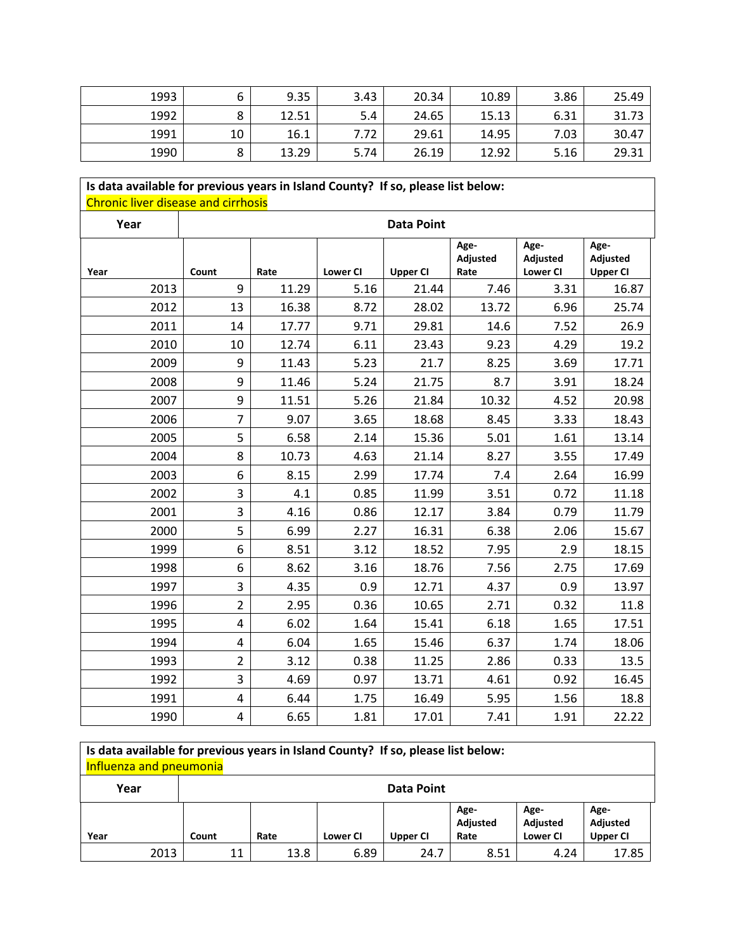| 1993 |              | 9.35  | 3.43 | 20.34 | 10.89 | 3.86 | 25.49 |
|------|--------------|-------|------|-------|-------|------|-------|
| 1992 | O<br>o       | 12.51 | 5.4  | 24.65 | 15.13 | 6.31 | 31.73 |
| 1991 | 10           | 16.1  | 7.72 | 29.61 | 14.95 | 7.03 | 30.47 |
| 1990 | C<br>$\circ$ | 13.29 | 5.74 | 26.19 | 12.92 | 5.16 | 29.31 |

# **Is data available for previous years in Island County? If so, please list below:** Chronic liver disease and cirrhosis

| Year |                         |       |                 | <b>Data Point</b> |                          |                                     |                                     |
|------|-------------------------|-------|-----------------|-------------------|--------------------------|-------------------------------------|-------------------------------------|
| Year | Count                   | Rate  | <b>Lower CI</b> | <b>Upper CI</b>   | Age-<br>Adjusted<br>Rate | Age-<br>Adjusted<br><b>Lower CI</b> | Age-<br>Adjusted<br><b>Upper CI</b> |
| 2013 | 9                       | 11.29 | 5.16            | 21.44             | 7.46                     | 3.31                                | 16.87                               |
| 2012 | 13                      | 16.38 | 8.72            | 28.02             | 13.72                    | 6.96                                | 25.74                               |
| 2011 | 14                      | 17.77 | 9.71            | 29.81             | 14.6                     | 7.52                                | 26.9                                |
| 2010 | 10                      | 12.74 | 6.11            | 23.43             | 9.23                     | 4.29                                | 19.2                                |
| 2009 | 9                       | 11.43 | 5.23            | 21.7              | 8.25                     | 3.69                                | 17.71                               |
| 2008 | 9                       | 11.46 | 5.24            | 21.75             | 8.7                      | 3.91                                | 18.24                               |
| 2007 | 9                       | 11.51 | 5.26            | 21.84             | 10.32                    | 4.52                                | 20.98                               |
| 2006 | $\overline{7}$          | 9.07  | 3.65            | 18.68             | 8.45                     | 3.33                                | 18.43                               |
| 2005 | 5                       | 6.58  | 2.14            | 15.36             | 5.01                     | 1.61                                | 13.14                               |
| 2004 | 8                       | 10.73 | 4.63            | 21.14             | 8.27                     | 3.55                                | 17.49                               |
| 2003 | 6                       | 8.15  | 2.99            | 17.74             | 7.4                      | 2.64                                | 16.99                               |
| 2002 | 3                       | 4.1   | 0.85            | 11.99             | 3.51                     | 0.72                                | 11.18                               |
| 2001 | 3                       | 4.16  | 0.86            | 12.17             | 3.84                     | 0.79                                | 11.79                               |
| 2000 | 5                       | 6.99  | 2.27            | 16.31             | 6.38                     | 2.06                                | 15.67                               |
| 1999 | 6                       | 8.51  | 3.12            | 18.52             | 7.95                     | 2.9                                 | 18.15                               |
| 1998 | 6                       | 8.62  | 3.16            | 18.76             | 7.56                     | 2.75                                | 17.69                               |
| 1997 | 3                       | 4.35  | 0.9             | 12.71             | 4.37                     | 0.9                                 | 13.97                               |
| 1996 | $\overline{2}$          | 2.95  | 0.36            | 10.65             | 2.71                     | 0.32                                | 11.8                                |
| 1995 | 4                       | 6.02  | 1.64            | 15.41             | 6.18                     | 1.65                                | 17.51                               |
| 1994 | 4                       | 6.04  | 1.65            | 15.46             | 6.37                     | 1.74                                | 18.06                               |
| 1993 | $\overline{2}$          | 3.12  | 0.38            | 11.25             | 2.86                     | 0.33                                | 13.5                                |
| 1992 | $\overline{3}$          | 4.69  | 0.97            | 13.71             | 4.61                     | 0.92                                | 16.45                               |
| 1991 | $\overline{\mathbf{4}}$ | 6.44  | 1.75            | 16.49             | 5.95                     | 1.56                                | 18.8                                |
| 1990 | 4                       | 6.65  | 1.81            | 17.01             | 7.41                     | 1.91                                | 22.22                               |

## **Is data available for previous years in Island County? If so, please list below:** Influenza and pneumonia

| Year |      | <b>Data Point</b> |      |                 |          |                          |                                     |                                     |  |  |
|------|------|-------------------|------|-----------------|----------|--------------------------|-------------------------------------|-------------------------------------|--|--|
| Year |      | Count             | Rate | <b>Lower CI</b> | Upper CI | Age-<br>Adjusted<br>Rate | Age-<br>Adjusted<br><b>Lower CI</b> | Age-<br>Adjusted<br><b>Upper CI</b> |  |  |
|      | 2013 | 11                | 13.8 | 6.89            | 24.7     | 8.51                     | 4.24                                | 17.85                               |  |  |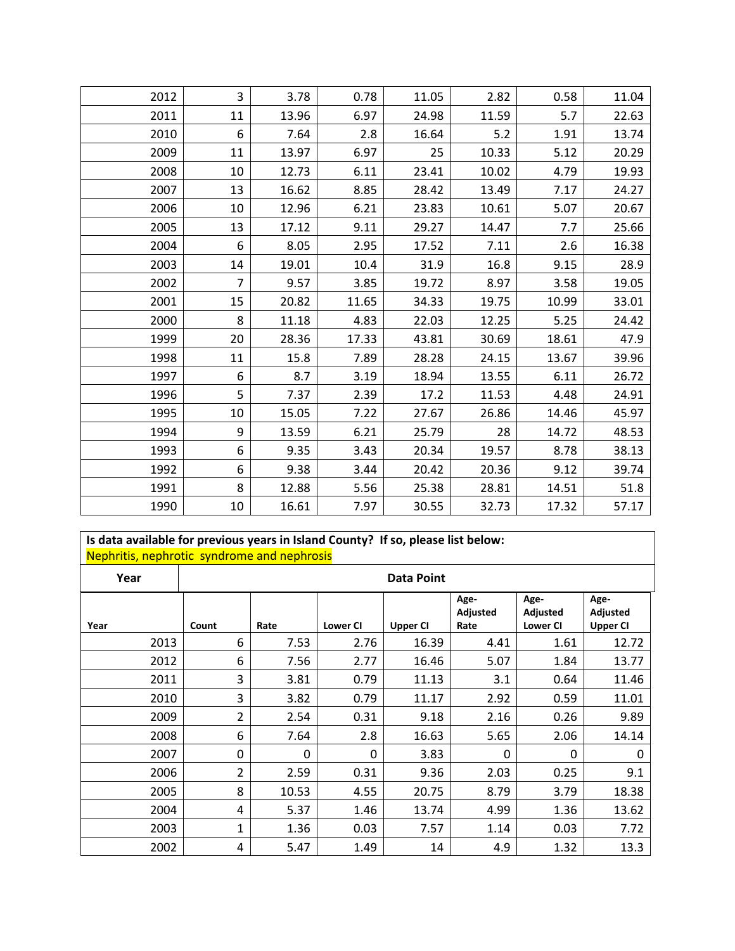| 2012 | 3              | 3.78  | 0.78  | 11.05 | 2.82  | 0.58  | 11.04 |
|------|----------------|-------|-------|-------|-------|-------|-------|
|      |                |       |       |       |       |       |       |
| 2011 | 11             | 13.96 | 6.97  | 24.98 | 11.59 | 5.7   | 22.63 |
| 2010 | 6              | 7.64  | 2.8   | 16.64 | 5.2   | 1.91  | 13.74 |
| 2009 | 11             | 13.97 | 6.97  | 25    | 10.33 | 5.12  | 20.29 |
| 2008 | 10             | 12.73 | 6.11  | 23.41 | 10.02 | 4.79  | 19.93 |
| 2007 | 13             | 16.62 | 8.85  | 28.42 | 13.49 | 7.17  | 24.27 |
| 2006 | 10             | 12.96 | 6.21  | 23.83 | 10.61 | 5.07  | 20.67 |
| 2005 | 13             | 17.12 | 9.11  | 29.27 | 14.47 | 7.7   | 25.66 |
| 2004 | 6              | 8.05  | 2.95  | 17.52 | 7.11  | 2.6   | 16.38 |
| 2003 | 14             | 19.01 | 10.4  | 31.9  | 16.8  | 9.15  | 28.9  |
| 2002 | $\overline{7}$ | 9.57  | 3.85  | 19.72 | 8.97  | 3.58  | 19.05 |
| 2001 | 15             | 20.82 | 11.65 | 34.33 | 19.75 | 10.99 | 33.01 |
| 2000 | 8              | 11.18 | 4.83  | 22.03 | 12.25 | 5.25  | 24.42 |
| 1999 | 20             | 28.36 | 17.33 | 43.81 | 30.69 | 18.61 | 47.9  |
| 1998 | 11             | 15.8  | 7.89  | 28.28 | 24.15 | 13.67 | 39.96 |
| 1997 | 6              | 8.7   | 3.19  | 18.94 | 13.55 | 6.11  | 26.72 |
| 1996 | 5              | 7.37  | 2.39  | 17.2  | 11.53 | 4.48  | 24.91 |
| 1995 | 10             | 15.05 | 7.22  | 27.67 | 26.86 | 14.46 | 45.97 |
| 1994 | 9              | 13.59 | 6.21  | 25.79 | 28    | 14.72 | 48.53 |
| 1993 | 6              | 9.35  | 3.43  | 20.34 | 19.57 | 8.78  | 38.13 |
| 1992 | 6              | 9.38  | 3.44  | 20.42 | 20.36 | 9.12  | 39.74 |
| 1991 | 8              | 12.88 | 5.56  | 25.38 | 28.81 | 14.51 | 51.8  |
| 1990 | 10             | 16.61 | 7.97  | 30.55 | 32.73 | 17.32 | 57.17 |

#### **Is data available for previous years in Island County? If so, please list below:** Nephritis, nephrotic syndrome and nephrosis

| . .<br>Year | -<br><b>Data Point</b> |       |                 |                 |                          |                                     |                                     |
|-------------|------------------------|-------|-----------------|-----------------|--------------------------|-------------------------------------|-------------------------------------|
| Year        | Count                  | Rate  | <b>Lower CI</b> | <b>Upper CI</b> | Age-<br>Adjusted<br>Rate | Age-<br>Adjusted<br><b>Lower CI</b> | Age-<br>Adjusted<br><b>Upper CI</b> |
| 2013        | 6                      | 7.53  | 2.76            | 16.39           | 4.41                     | 1.61                                | 12.72                               |
| 2012        | 6                      | 7.56  | 2.77            | 16.46           | 5.07                     | 1.84                                | 13.77                               |
| 2011        | 3                      | 3.81  | 0.79            | 11.13           | 3.1                      | 0.64                                | 11.46                               |
| 2010        | 3                      | 3.82  | 0.79            | 11.17           | 2.92                     | 0.59                                | 11.01                               |
| 2009        | $\overline{2}$         | 2.54  | 0.31            | 9.18            | 2.16                     | 0.26                                | 9.89                                |
| 2008        | 6                      | 7.64  | 2.8             | 16.63           | 5.65                     | 2.06                                | 14.14                               |
| 2007        | $\Omega$               | 0     | $\mathbf 0$     | 3.83            | $\Omega$                 | $\Omega$                            | $\Omega$                            |
| 2006        | $\overline{2}$         | 2.59  | 0.31            | 9.36            | 2.03                     | 0.25                                | 9.1                                 |
| 2005        | 8                      | 10.53 | 4.55            | 20.75           | 8.79                     | 3.79                                | 18.38                               |
| 2004        | 4                      | 5.37  | 1.46            | 13.74           | 4.99                     | 1.36                                | 13.62                               |
| 2003        | 1                      | 1.36  | 0.03            | 7.57            | 1.14                     | 0.03                                | 7.72                                |
| 2002        | 4                      | 5.47  | 1.49            | 14              | 4.9                      | 1.32                                | 13.3                                |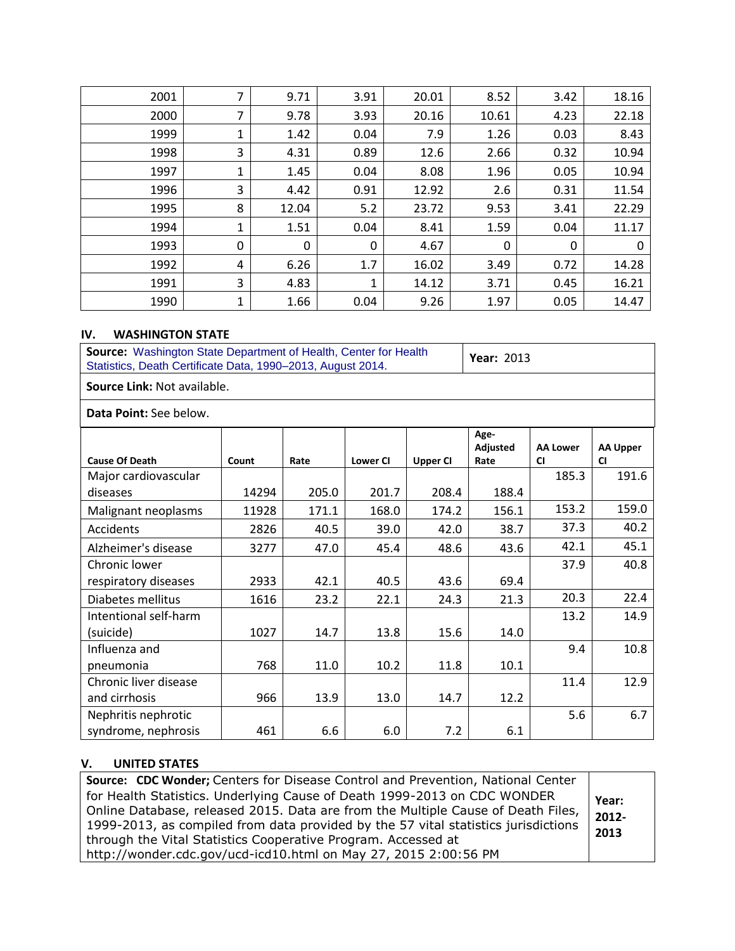| 2001 | 7 | 9.71  | 3.91 | 20.01 | 8.52  | 3.42 | 18.16       |
|------|---|-------|------|-------|-------|------|-------------|
| 2000 | 7 | 9.78  | 3.93 | 20.16 | 10.61 | 4.23 | 22.18       |
| 1999 | 1 | 1.42  | 0.04 | 7.9   | 1.26  | 0.03 | 8.43        |
| 1998 | 3 | 4.31  | 0.89 | 12.6  | 2.66  | 0.32 | 10.94       |
| 1997 | 1 | 1.45  | 0.04 | 8.08  | 1.96  | 0.05 | 10.94       |
| 1996 | 3 | 4.42  | 0.91 | 12.92 | 2.6   | 0.31 | 11.54       |
| 1995 | 8 | 12.04 | 5.2  | 23.72 | 9.53  | 3.41 | 22.29       |
| 1994 | 1 | 1.51  | 0.04 | 8.41  | 1.59  | 0.04 | 11.17       |
| 1993 | 0 | 0     | 0    | 4.67  | 0     | 0    | $\mathbf 0$ |
| 1992 | 4 | 6.26  | 1.7  | 16.02 | 3.49  | 0.72 | 14.28       |
| 1991 | 3 | 4.83  | 1    | 14.12 | 3.71  | 0.45 | 16.21       |
| 1990 | 1 | 1.66  | 0.04 | 9.26  | 1.97  | 0.05 | 14.47       |

#### **IV. WASHINGTON STATE**

| Source: Washington State Department of Health, Center for Health<br>Statistics, Death Certificate Data, 1990-2013, August 2014. |       |       |                 |                 |                          | <b>Year: 2013</b>            |                              |  |  |
|---------------------------------------------------------------------------------------------------------------------------------|-------|-------|-----------------|-----------------|--------------------------|------------------------------|------------------------------|--|--|
| <b>Source Link: Not available.</b>                                                                                              |       |       |                 |                 |                          |                              |                              |  |  |
| Data Point: See below.                                                                                                          |       |       |                 |                 |                          |                              |                              |  |  |
| <b>Cause Of Death</b>                                                                                                           | Count | Rate  | <b>Lower CI</b> | <b>Upper CI</b> | Age-<br>Adjusted<br>Rate | <b>AA Lower</b><br><b>CI</b> | <b>AA Upper</b><br><b>CI</b> |  |  |
| Major cardiovascular<br>diseases                                                                                                | 14294 | 205.0 | 201.7           | 208.4           | 188.4                    | 185.3                        | 191.6                        |  |  |
| Malignant neoplasms                                                                                                             | 11928 | 171.1 | 168.0           | 174.2           | 156.1                    | 153.2                        | 159.0                        |  |  |
| Accidents                                                                                                                       | 2826  | 40.5  | 39.0            | 42.0            | 38.7                     | 37.3                         | 40.2                         |  |  |
| Alzheimer's disease                                                                                                             | 3277  | 47.0  | 45.4            | 48.6            | 43.6                     | 42.1                         | 45.1                         |  |  |
| Chronic lower                                                                                                                   |       |       |                 |                 |                          | 37.9                         | 40.8                         |  |  |
| respiratory diseases                                                                                                            | 2933  | 42.1  | 40.5            | 43.6            | 69.4                     |                              |                              |  |  |
| Diabetes mellitus                                                                                                               | 1616  | 23.2  | 22.1            | 24.3            | 21.3                     | 20.3                         | 22.4                         |  |  |
| Intentional self-harm                                                                                                           |       |       |                 |                 |                          | 13.2                         | 14.9                         |  |  |
| (suicide)                                                                                                                       | 1027  | 14.7  | 13.8            | 15.6            | 14.0                     |                              |                              |  |  |
| Influenza and                                                                                                                   |       |       |                 |                 |                          | 9.4                          | 10.8                         |  |  |
| pneumonia                                                                                                                       | 768   | 11.0  | 10.2            | 11.8            | 10.1                     |                              |                              |  |  |
| Chronic liver disease                                                                                                           |       |       |                 |                 |                          | 11.4                         | 12.9                         |  |  |
| and cirrhosis                                                                                                                   | 966   | 13.9  | 13.0            | 14.7            | 12.2                     |                              |                              |  |  |
| Nephritis nephrotic                                                                                                             |       |       |                 |                 |                          | 5.6                          | 6.7                          |  |  |
| syndrome, nephrosis                                                                                                             | 461   | 6.6   | 6.0             | 7.2             | 6.1                      |                              |                              |  |  |

# **V. UNITED STATES**

| Source: CDC Wonder; Centers for Disease Control and Prevention, National Center    |               |
|------------------------------------------------------------------------------------|---------------|
| for Health Statistics. Underlying Cause of Death 1999-2013 on CDC WONDER           | Year:         |
| Online Database, released 2015. Data are from the Multiple Cause of Death Files,   |               |
| 1999-2013, as compiled from data provided by the 57 vital statistics jurisdictions | 2012-<br>2013 |
| through the Vital Statistics Cooperative Program. Accessed at                      |               |
| http://wonder.cdc.gov/ucd-icd10.html on May 27, 2015 2:00:56 PM                    |               |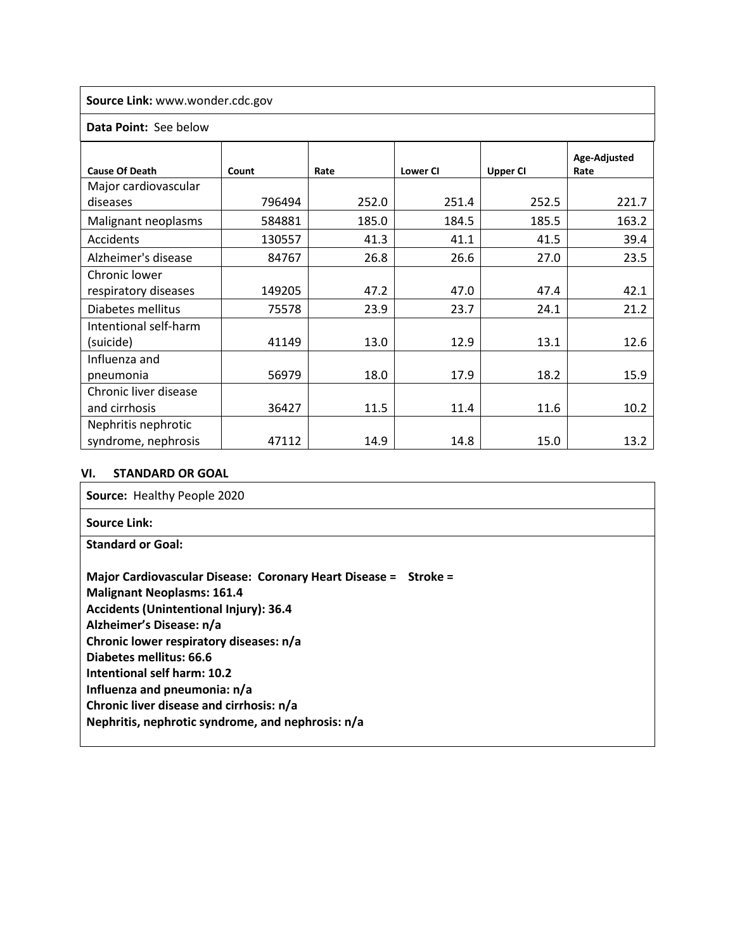**Source Link:** www.wonder.cdc.gov

#### **Data Point:** See below

| <b>Cause Of Death</b> | Count  | Rate  | <b>Lower CI</b> | <b>Upper CI</b> | Age-Adjusted<br>Rate |
|-----------------------|--------|-------|-----------------|-----------------|----------------------|
| Major cardiovascular  |        |       |                 |                 |                      |
| diseases              | 796494 | 252.0 | 251.4           | 252.5           | 221.7                |
| Malignant neoplasms   | 584881 | 185.0 | 184.5           | 185.5           | 163.2                |
| Accidents             | 130557 | 41.3  | 41.1            | 41.5            | 39.4                 |
| Alzheimer's disease   | 84767  | 26.8  | 26.6            | 27.0            | 23.5                 |
| Chronic lower         |        |       |                 |                 |                      |
| respiratory diseases  | 149205 | 47.2  | 47.0            | 47.4            | 42.1                 |
| Diabetes mellitus     | 75578  | 23.9  | 23.7            | 24.1            | 21.2                 |
| Intentional self-harm |        |       |                 |                 |                      |
| (suicide)             | 41149  | 13.0  | 12.9            | 13.1            | 12.6                 |
| Influenza and         |        |       |                 |                 |                      |
| pneumonia             | 56979  | 18.0  | 17.9            | 18.2            | 15.9                 |
| Chronic liver disease |        |       |                 |                 |                      |
| and cirrhosis         | 36427  | 11.5  | 11.4            | 11.6            | 10.2                 |
| Nephritis nephrotic   |        |       |                 |                 |                      |
| syndrome, nephrosis   | 47112  | 14.9  | 14.8            | 15.0            | 13.2                 |

#### **VI. STANDARD OR GOAL**

| Source: Healthy People 2020                                     |
|-----------------------------------------------------------------|
| <b>Source Link:</b>                                             |
| <b>Standard or Goal:</b>                                        |
| Major Cardiovascular Disease: Coronary Heart Disease = Stroke = |
| <b>Malignant Neoplasms: 161.4</b>                               |
| <b>Accidents (Unintentional Injury): 36.4</b>                   |
| Alzheimer's Disease: n/a                                        |
| Chronic lower respiratory diseases: n/a                         |
| Diabetes mellitus: 66.6                                         |
| Intentional self harm: 10.2                                     |
| Influenza and pneumonia: n/a                                    |
| Chronic liver disease and cirrhosis: n/a                        |
| Nephritis, nephrotic syndrome, and nephrosis: n/a               |
|                                                                 |